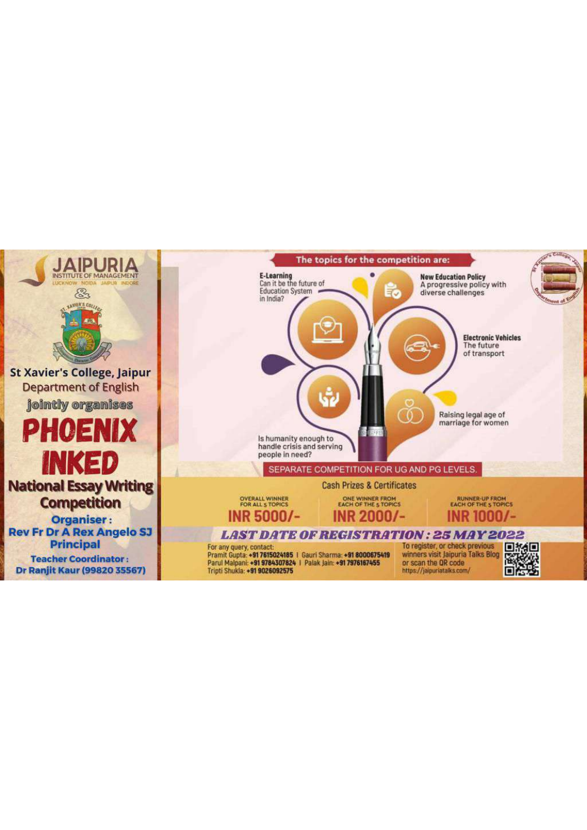